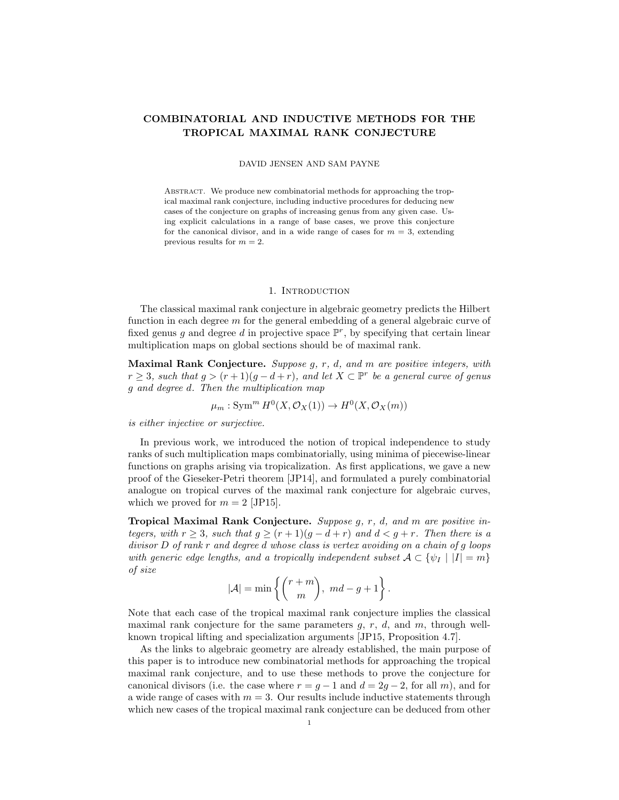# COMBINATORIAL AND INDUCTIVE METHODS FOR THE TROPICAL MAXIMAL RANK CONJECTURE

### DAVID JENSEN AND SAM PAYNE

Abstract. We produce new combinatorial methods for approaching the tropical maximal rank conjecture, including inductive procedures for deducing new cases of the conjecture on graphs of increasing genus from any given case. Using explicit calculations in a range of base cases, we prove this conjecture for the canonical divisor, and in a wide range of cases for  $m = 3$ , extending previous results for  $m = 2$ .

#### 1. INTRODUCTION

The classical maximal rank conjecture in algebraic geometry predicts the Hilbert function in each degree m for the general embedding of a general algebraic curve of fixed genus g and degree d in projective space  $\mathbb{P}^r$ , by specifying that certain linear multiplication maps on global sections should be of maximal rank.

Maximal Rank Conjecture. Suppose g, r, d, and m are positive integers, with  $r \geq 3$ , such that  $g > (r+1)(g-d+r)$ , and let  $X \subset \mathbb{P}^r$  be a general curve of genus g and degree d. Then the multiplication map

$$
\mu_m: \operatorname{Sym}^m H^0(X, \mathcal{O}_X(1)) \to H^0(X, \mathcal{O}_X(m))
$$

is either injective or surjective.

In previous work, we introduced the notion of tropical independence to study ranks of such multiplication maps combinatorially, using minima of piecewise-linear functions on graphs arising via tropicalization. As first applications, we gave a new proof of the Gieseker-Petri theorem [JP14], and formulated a purely combinatorial analogue on tropical curves of the maximal rank conjecture for algebraic curves, which we proved for  $m = 2$  [JP15].

Tropical Maximal Rank Conjecture. Suppose g, r, d, and m are positive integers, with  $r \geq 3$ , such that  $g \geq (r+1)(g-d+r)$  and  $d < g+r$ . Then there is a divisor D of rank r and degree d whose class is vertex avoiding on a chain of g loops with generic edge lengths, and a tropically independent subset  $\mathcal{A} \subset {\psi_I} |I| = m$ of size

$$
|\mathcal{A}| = \min \left\{ \binom{r+m}{m}, md-g+1 \right\}.
$$

Note that each case of the tropical maximal rank conjecture implies the classical maximal rank conjecture for the same parameters  $g, r, d$ , and  $m$ , through wellknown tropical lifting and specialization arguments [JP15, Proposition 4.7].

As the links to algebraic geometry are already established, the main purpose of this paper is to introduce new combinatorial methods for approaching the tropical maximal rank conjecture, and to use these methods to prove the conjecture for canonical divisors (i.e. the case where  $r = q - 1$  and  $d = 2q - 2$ , for all m), and for a wide range of cases with  $m = 3$ . Our results include inductive statements through which new cases of the tropical maximal rank conjecture can be deduced from other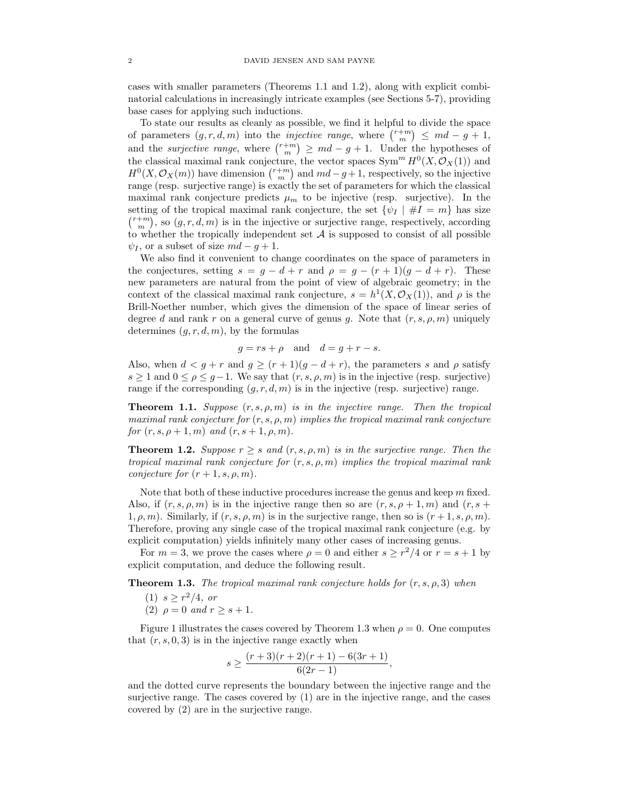cases with smaller parameters (Theorems 1.1 and 1.2), along with explicit combinatorial calculations in increasingly intricate examples (see Sections 5-7), providing base cases for applying such inductions.

To state our results as cleanly as possible, we find it helpful to divide the space of parameters  $(g, r, d, m)$  into the *injective range*, where  $\binom{r+m}{m} \leq md - g + 1$ , and the *surjective range*, where  $\binom{r+m}{m} \geq md - g + 1$ . Under the hypotheses of the classical maximal rank conjecture, the vector spaces  $\text{Sym}^m H^0(X, \mathcal{O}_X(1))$  and  $H^0(X, \mathcal{O}_X(m))$  have dimension  $\binom{r+m}{m}$  and  $md-g+1$ , respectively, so the injective range (resp. surjective range) is exactly the set of parameters for which the classical maximal rank conjecture predicts  $\mu_m$  to be injective (resp. surjective). In the setting of the tropical maximal rank conjecture, the set  $\{\psi_I \mid \#I = m\}$  has size  $\binom{r+m}{m}$ , so  $(g, r, d, m)$  is in the injective or surjective range, respectively, according to whether the tropically independent set  $A$  is supposed to consist of all possible  $\psi_I$ , or a subset of size  $md - q + 1$ .

We also find it convenient to change coordinates on the space of parameters in the conjectures, setting  $s = g - d + r$  and  $\rho = g - (r + 1)(g - d + r)$ . These new parameters are natural from the point of view of algebraic geometry; in the context of the classical maximal rank conjecture,  $s = h^1(X, \mathcal{O}_X(1))$ , and  $\rho$  is the Brill-Noether number, which gives the dimension of the space of linear series of degree d and rank r on a general curve of genus g. Note that  $(r, s, \rho, m)$  uniquely determines  $(q, r, d, m)$ , by the formulas

$$
g = rs + \rho \quad \text{and} \quad d = g + r - s.
$$

Also, when  $d < g + r$  and  $g \ge (r + 1)(g - d + r)$ , the parameters s and  $\rho$  satisfy  $s \geq 1$  and  $0 \leq \rho \leq g-1$ . We say that  $(r, s, \rho, m)$  is in the injective (resp. surjective) range if the corresponding  $(q, r, d, m)$  is in the injective (resp. surjective) range.

**Theorem 1.1.** Suppose  $(r, s, \rho, m)$  is in the injective range. Then the tropical maximal rank conjecture for  $(r, s, \rho, m)$  implies the tropical maximal rank conjecture for  $(r, s, \rho + 1, m)$  and  $(r, s + 1, \rho, m)$ .

**Theorem 1.2.** Suppose  $r \geq s$  and  $(r, s, \rho, m)$  is in the surjective range. Then the tropical maximal rank conjecture for  $(r, s, \rho, m)$  implies the tropical maximal rank conjecture for  $(r+1, s, \rho, m)$ .

Note that both of these inductive procedures increase the genus and keep  $m$  fixed. Also, if  $(r, s, \rho, m)$  is in the injective range then so are  $(r, s, \rho + 1, m)$  and  $(r, s +$ 1,  $\rho$ , m). Similarly, if  $(r, s, \rho, m)$  is in the surjective range, then so is  $(r + 1, s, \rho, m)$ . Therefore, proving any single case of the tropical maximal rank conjecture (e.g. by explicit computation) yields infinitely many other cases of increasing genus.

For  $m = 3$ , we prove the cases where  $\rho = 0$  and either  $s \geq r^2/4$  or  $r = s + 1$  by explicit computation, and deduce the following result.

**Theorem 1.3.** The tropical maximal rank conjecture holds for  $(r, s, \rho, 3)$  when

- (1)  $s \geq r^2/4$ , or
- (2)  $\rho = 0$  and  $r \geq s + 1$ .

Figure 1 illustrates the cases covered by Theorem 1.3 when  $\rho = 0$ . One computes that  $(r, s, 0, 3)$  is in the injective range exactly when

$$
s \ge \frac{(r+3)(r+2)(r+1) - 6(3r+1)}{6(2r-1)},
$$

and the dotted curve represents the boundary between the injective range and the surjective range. The cases covered by (1) are in the injective range, and the cases covered by (2) are in the surjective range.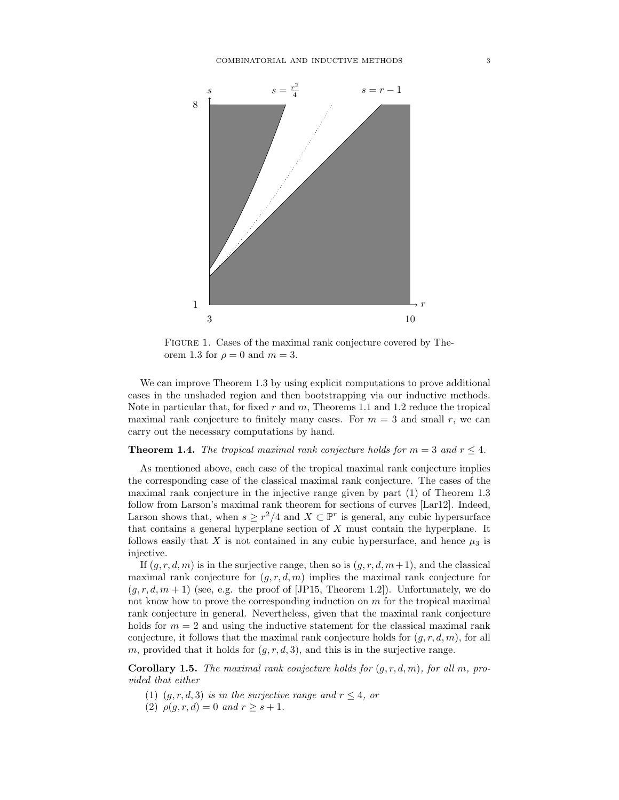

Figure 1. Cases of the maximal rank conjecture covered by Theorem 1.3 for  $\rho = 0$  and  $m = 3$ .

We can improve Theorem 1.3 by using explicit computations to prove additional cases in the unshaded region and then bootstrapping via our inductive methods. Note in particular that, for fixed r and  $m$ , Theorems 1.1 and 1.2 reduce the tropical maximal rank conjecture to finitely many cases. For  $m = 3$  and small r, we can carry out the necessary computations by hand.

**Theorem 1.4.** The tropical maximal rank conjecture holds for  $m = 3$  and  $r \leq 4$ .

As mentioned above, each case of the tropical maximal rank conjecture implies the corresponding case of the classical maximal rank conjecture. The cases of the maximal rank conjecture in the injective range given by part (1) of Theorem 1.3 follow from Larson's maximal rank theorem for sections of curves [Lar12]. Indeed, Larson shows that, when  $s \geq r^2/4$  and  $X \subset \mathbb{P}^r$  is general, any cubic hypersurface that contains a general hyperplane section of X must contain the hyperplane. It follows easily that X is not contained in any cubic hypersurface, and hence  $\mu_3$  is injective.

If  $(q, r, d, m)$  is in the surjective range, then so is  $(q, r, d, m+1)$ , and the classical maximal rank conjecture for  $(g, r, d, m)$  implies the maximal rank conjecture for  $(g, r, d, m + 1)$  (see, e.g. the proof of [JP15, Theorem 1.2]). Unfortunately, we do not know how to prove the corresponding induction on  $m$  for the tropical maximal rank conjecture in general. Nevertheless, given that the maximal rank conjecture holds for  $m = 2$  and using the inductive statement for the classical maximal rank conjecture, it follows that the maximal rank conjecture holds for  $(g, r, d, m)$ , for all m, provided that it holds for  $(g, r, d, 3)$ , and this is in the surjective range.

**Corollary 1.5.** The maximal rank conjecture holds for  $(q, r, d, m)$ , for all m, provided that either

- (1)  $(g, r, d, 3)$  is in the surjective range and  $r \leq 4$ , or
- (2)  $\rho(q, r, d) = 0$  and  $r \geq s + 1$ .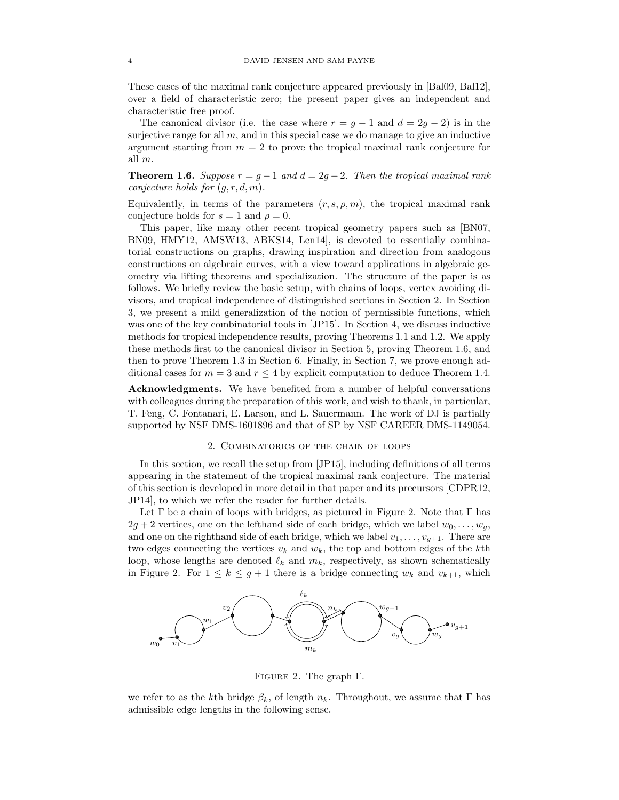These cases of the maximal rank conjecture appeared previously in [Bal09, Bal12], over a field of characteristic zero; the present paper gives an independent and characteristic free proof.

The canonical divisor (i.e. the case where  $r = g - 1$  and  $d = 2g - 2$ ) is in the surjective range for all  $m$ , and in this special case we do manage to give an inductive argument starting from  $m = 2$  to prove the tropical maximal rank conjecture for all m.

**Theorem 1.6.** Suppose  $r = g - 1$  and  $d = 2g - 2$ . Then the tropical maximal rank conjecture holds for  $(g, r, d, m)$ .

Equivalently, in terms of the parameters  $(r, s, \rho, m)$ , the tropical maximal rank conjecture holds for  $s = 1$  and  $\rho = 0$ .

This paper, like many other recent tropical geometry papers such as [BN07, BN09, HMY12, AMSW13, ABKS14, Len14], is devoted to essentially combinatorial constructions on graphs, drawing inspiration and direction from analogous constructions on algebraic curves, with a view toward applications in algebraic geometry via lifting theorems and specialization. The structure of the paper is as follows. We briefly review the basic setup, with chains of loops, vertex avoiding divisors, and tropical independence of distinguished sections in Section 2. In Section 3, we present a mild generalization of the notion of permissible functions, which was one of the key combinatorial tools in [JP15]. In Section 4, we discuss inductive methods for tropical independence results, proving Theorems 1.1 and 1.2. We apply these methods first to the canonical divisor in Section 5, proving Theorem 1.6, and then to prove Theorem 1.3 in Section 6. Finally, in Section 7, we prove enough additional cases for  $m = 3$  and  $r \leq 4$  by explicit computation to deduce Theorem 1.4.

Acknowledgments. We have benefited from a number of helpful conversations with colleagues during the preparation of this work, and wish to thank, in particular, T. Feng, C. Fontanari, E. Larson, and L. Sauermann. The work of DJ is partially supported by NSF DMS-1601896 and that of SP by NSF CAREER DMS-1149054.

### 2. Combinatorics of the chain of loops

In this section, we recall the setup from [JP15], including definitions of all terms appearing in the statement of the tropical maximal rank conjecture. The material of this section is developed in more detail in that paper and its precursors [CDPR12, JP14], to which we refer the reader for further details.

Let  $\Gamma$  be a chain of loops with bridges, as pictured in Figure 2. Note that  $\Gamma$  has  $2g + 2$  vertices, one on the lefthand side of each bridge, which we label  $w_0, \ldots, w_q$ , and one on the righthand side of each bridge, which we label  $v_1, \ldots, v_{g+1}$ . There are two edges connecting the vertices  $v_k$  and  $w_k$ , the top and bottom edges of the kth loop, whose lengths are denoted  $\ell_k$  and  $m_k$ , respectively, as shown schematically in Figure 2. For  $1 \leq k \leq g+1$  there is a bridge connecting  $w_k$  and  $v_{k+1}$ , which



Figure 2. The graph Γ.

we refer to as the kth bridge  $\beta_k$ , of length  $n_k$ . Throughout, we assume that  $\Gamma$  has admissible edge lengths in the following sense.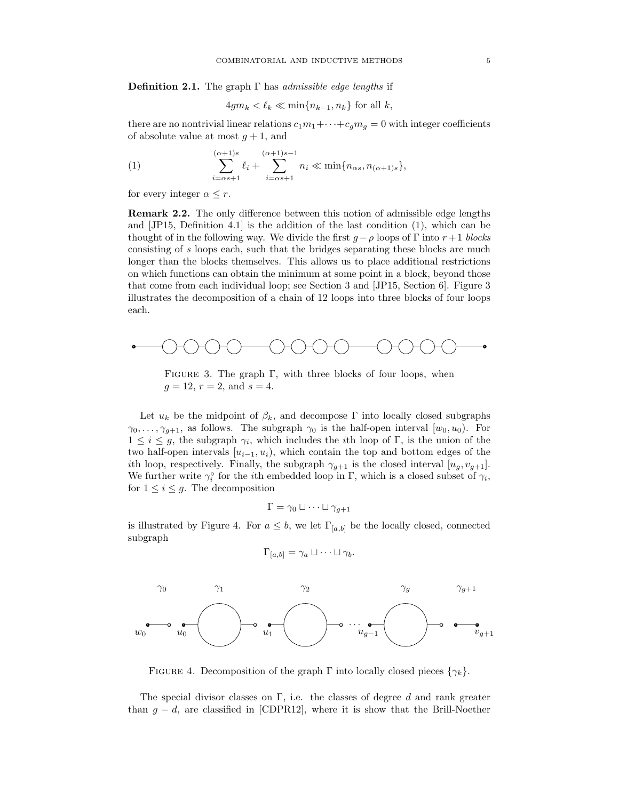**Definition 2.1.** The graph  $\Gamma$  has *admissible edge lengths* if

$$
4gm_k < \ell_k \ll \min\{n_{k-1}, n_k\}
$$
 for all  $k$ ,

there are no nontrivial linear relations  $c_1m_1+\cdots+c_qm_q=0$  with integer coefficients of absolute value at most  $g + 1$ , and

(1) 
$$
\sum_{i=\alpha s+1}^{(\alpha+1)s} \ell_i + \sum_{i=\alpha s+1}^{(\alpha+1)s-1} n_i \ll \min\{n_{\alpha s}, n_{(\alpha+1)s}\},
$$

for every integer  $\alpha \leq r$ .

Remark 2.2. The only difference between this notion of admissible edge lengths and [JP15, Definition 4.1] is the addition of the last condition (1), which can be thought of in the following way. We divide the first  $g - \rho$  loops of Γ into  $r + 1$  blocks consisting of s loops each, such that the bridges separating these blocks are much longer than the blocks themselves. This allows us to place additional restrictions on which functions can obtain the minimum at some point in a block, beyond those that come from each individual loop; see Section 3 and [JP15, Section 6]. Figure 3 illustrates the decomposition of a chain of 12 loops into three blocks of four loops each.



FIGURE 3. The graph  $\Gamma$ , with three blocks of four loops, when  $g = 12, r = 2, \text{ and } s = 4.$ 

Let  $u_k$  be the midpoint of  $\beta_k$ , and decompose Γ into locally closed subgraphs  $\gamma_0, \ldots, \gamma_{q+1}$ , as follows. The subgraph  $\gamma_0$  is the half-open interval  $[w_0, u_0)$ . For  $1 \leq i \leq g$ , the subgraph  $\gamma_i$ , which includes the *i*th loop of Γ, is the union of the two half-open intervals  $[u_{i-1}, u_i]$ , which contain the top and bottom edges of the ith loop, respectively. Finally, the subgraph  $\gamma_{g+1}$  is the closed interval  $[u_g, v_{g+1}]$ . We further write  $\gamma_i^{\circ}$  for the *i*th embedded loop in  $\Gamma$ , which is a closed subset of  $\gamma_i$ , for  $1 \leq i \leq g$ . The decomposition

$$
\Gamma = \gamma_0 \sqcup \cdots \sqcup \gamma_{g+1}
$$

is illustrated by Figure 4. For  $a \leq b$ , we let  $\Gamma_{[a,b]}$  be the locally closed, connected subgraph

$$
\Gamma_{[a,b]} = \gamma_a \sqcup \cdots \sqcup \gamma_b.
$$



FIGURE 4. Decomposition of the graph  $\Gamma$  into locally closed pieces  $\{\gamma_k\}$ .

The special divisor classes on  $\Gamma$ , i.e. the classes of degree d and rank greater than  $g - d$ , are classified in [CDPR12], where it is show that the Brill-Noether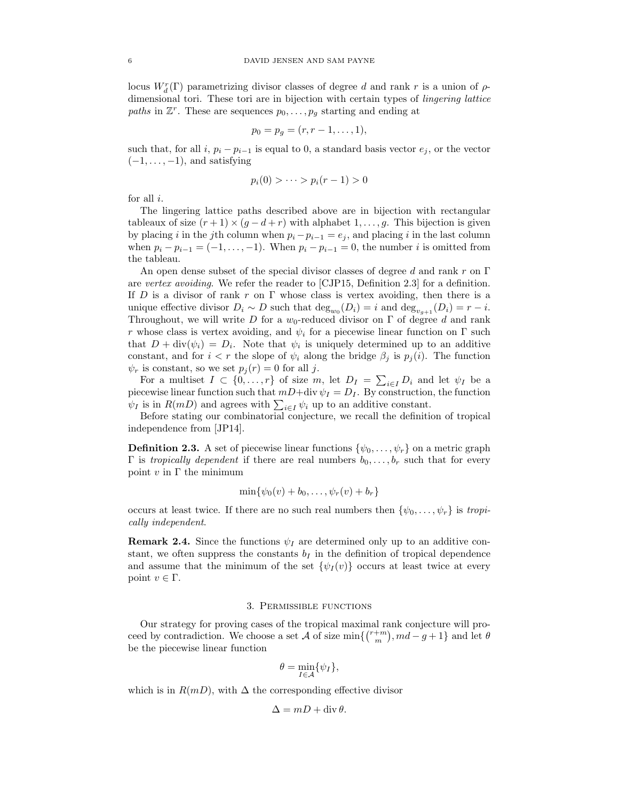locus  $W_d^r(\Gamma)$  parametrizing divisor classes of degree d and rank r is a union of  $\rho$ dimensional tori. These tori are in bijection with certain types of lingering lattice paths in  $\mathbb{Z}^r$ . These are sequences  $p_0, \ldots, p_g$  starting and ending at

$$
p_0 = p_g = (r, r-1, \ldots, 1),
$$

such that, for all i,  $p_i - p_{i-1}$  is equal to 0, a standard basis vector  $e_j$ , or the vector  $(-1, \ldots, -1)$ , and satisfying

$$
p_i(0) > \cdots > p_i(r-1) > 0
$$

for all i.

The lingering lattice paths described above are in bijection with rectangular tableaux of size  $(r+1) \times (q-d+r)$  with alphabet 1, ..., q. This bijection is given by placing i in the jth column when  $p_i - p_{i-1} = e_j$ , and placing i in the last column when  $p_i - p_{i-1} = (-1, \ldots, -1)$ . When  $p_i - p_{i-1} = 0$ , the number i is omitted from the tableau.

An open dense subset of the special divisor classes of degree d and rank r on  $\Gamma$ are vertex avoiding. We refer the reader to [CJP15, Definition 2.3] for a definition. If D is a divisor of rank r on  $\Gamma$  whose class is vertex avoiding, then there is a unique effective divisor  $D_i \sim D$  such that  $\deg_{w_0}(D_i) = i$  and  $\deg_{v_{g+1}}(D_i) = r - i$ . Throughout, we will write D for a  $w_0$ -reduced divisor on  $\Gamma$  of degree d and rank r whose class is vertex avoiding, and  $\psi_i$  for a piecewise linear function on  $\Gamma$  such that  $D + \text{div}(\psi_i) = D_i$ . Note that  $\psi_i$  is uniquely determined up to an additive constant, and for  $i < r$  the slope of  $\psi_i$  along the bridge  $\beta_i$  is  $p_i(i)$ . The function  $\psi_r$  is constant, so we set  $p_j(r) = 0$  for all j.

For a multiset  $I \subset \{0, \ldots, r\}$  of size m, let  $D_I = \sum_{i \in I} D_i$  and let  $\psi_I$  be a piecewise linear function such that  $mD+div \psi_I = D_I$ . By construction, the function  $\psi_I$  is in  $R(mD)$  and agrees with  $\sum_{i\in I}\psi_i$  up to an additive constant.

Before stating our combinatorial conjecture, we recall the definition of tropical independence from [JP14].

**Definition 2.3.** A set of piecewise linear functions  $\{\psi_0, \ldots, \psi_r\}$  on a metric graph Γ is *tropically dependent* if there are real numbers  $b_0, \ldots, b_r$  such that for every point  $v$  in  $\Gamma$  the minimum

$$
\min\{\psi_0(v)+b_0,\ldots,\psi_r(v)+b_r\}
$$

occurs at least twice. If there are no such real numbers then  $\{\psi_0, \ldots, \psi_r\}$  is tropically independent.

**Remark 2.4.** Since the functions  $\psi_I$  are determined only up to an additive constant, we often suppress the constants  $b<sub>I</sub>$  in the definition of tropical dependence and assume that the minimum of the set  $\{\psi_I(v)\}$  occurs at least twice at every point  $v \in \Gamma$ .

# 3. Permissible functions

Our strategy for proving cases of the tropical maximal rank conjecture will proceed by contradiction. We choose a set A of size  $\min\{\binom{r+m}{m},md-g+1\}$  and let  $\theta$ be the piecewise linear function

$$
\theta = \min_{I \in \mathcal{A}} \{ \psi_I \},
$$

which is in  $R(mD)$ , with  $\Delta$  the corresponding effective divisor

$$
\Delta = mD + \operatorname{div} \theta.
$$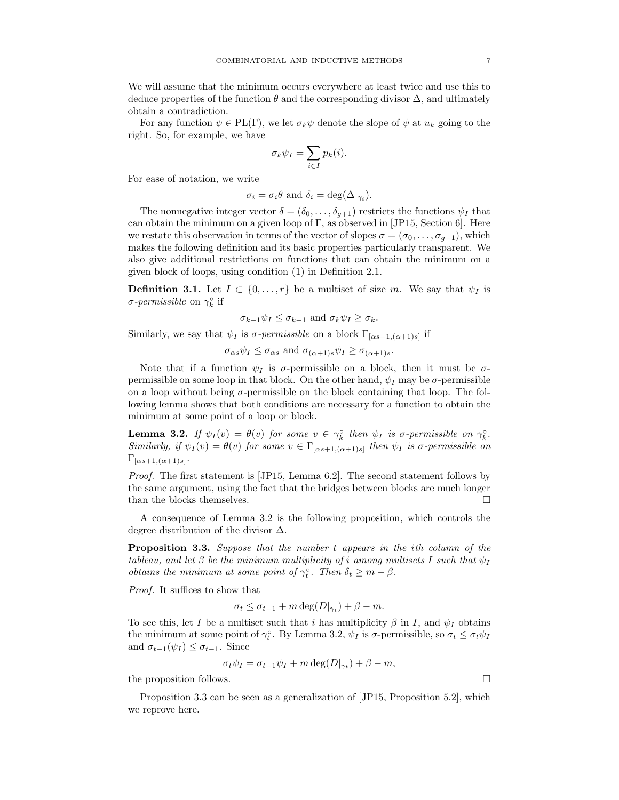We will assume that the minimum occurs everywhere at least twice and use this to deduce properties of the function  $\theta$  and the corresponding divisor  $\Delta$ , and ultimately obtain a contradiction.

For any function  $\psi \in PL(\Gamma)$ , we let  $\sigma_k \psi$  denote the slope of  $\psi$  at  $u_k$  going to the right. So, for example, we have

$$
\sigma_k \psi_I = \sum_{i \in I} p_k(i).
$$

For ease of notation, we write

$$
\sigma_i = \sigma_i \theta
$$
 and  $\delta_i = \deg(\Delta|_{\gamma_i}).$ 

The nonnegative integer vector  $\delta = (\delta_0, \ldots, \delta_{g+1})$  restricts the functions  $\psi_I$  that can obtain the minimum on a given loop of  $\Gamma$ , as observed in [JP15, Section 6]. Here we restate this observation in terms of the vector of slopes  $\sigma = (\sigma_0, \ldots, \sigma_{g+1})$ , which makes the following definition and its basic properties particularly transparent. We also give additional restrictions on functions that can obtain the minimum on a given block of loops, using condition (1) in Definition 2.1.

**Definition 3.1.** Let  $I \subset \{0, \ldots, r\}$  be a multiset of size m. We say that  $\psi_I$  is σ-permissible on  $\gamma_k^{\circ}$  if

$$
\sigma_{k-1}\psi_I \leq \sigma_{k-1}
$$
 and  $\sigma_k\psi_I \geq \sigma_k$ .

Similarly, we say that  $\psi_I$  is  $\sigma$ -permissible on a block  $\Gamma_{[\alpha s+1,(\alpha+1)s]}$  if

 $\sigma_{\alpha s}\psi_I \leq \sigma_{\alpha s}$  and  $\sigma_{(\alpha+1)s}\psi_I \geq \sigma_{(\alpha+1)s}$ .

Note that if a function  $\psi_I$  is  $\sigma$ -permissible on a block, then it must be  $\sigma$ permissible on some loop in that block. On the other hand,  $\psi_I$  may be  $\sigma$ -permissible on a loop without being  $\sigma$ -permissible on the block containing that loop. The following lemma shows that both conditions are necessary for a function to obtain the minimum at some point of a loop or block.

**Lemma 3.2.** If  $\psi_I(v) = \theta(v)$  for some  $v \in \gamma_k^{\circ}$  then  $\psi_I$  is  $\sigma$ -permissible on  $\gamma_k^{\circ}$ . Similarly, if  $\psi_I(v) = \theta(v)$  for some  $v \in \Gamma_{[\alpha s+1, (\alpha+1)s]}$  then  $\psi_I$  is  $\sigma$ -permissible on  $\Gamma_{[\alpha s+1,(\alpha+1)s]}$ .

Proof. The first statement is [JP15, Lemma 6.2]. The second statement follows by the same argument, using the fact that the bridges between blocks are much longer than the blocks themselves.  $\hfill \square$ 

A consequence of Lemma 3.2 is the following proposition, which controls the degree distribution of the divisor ∆.

Proposition 3.3. Suppose that the number t appears in the ith column of the tableau, and let  $\beta$  be the minimum multiplicity of i among multisets I such that  $\psi_I$ *obtains the minimum at some point of*  $\gamma_t^{\circ}$ . Then  $\delta_t \geq m - \beta$ .

Proof. It suffices to show that

$$
\sigma_t \leq \sigma_{t-1} + m \deg(D|_{\gamma_t}) + \beta - m.
$$

To see this, let I be a multiset such that i has multiplicity  $\beta$  in I, and  $\psi_I$  obtains the minimum at some point of  $\gamma_t^{\circ}$ . By Lemma 3.2,  $\psi_I$  is  $\sigma$ -permissible, so  $\sigma_t \leq \sigma_t \psi_I$ and  $\sigma_{t-1}(\psi_I) \leq \sigma_{t-1}$ . Since

$$
\sigma_t \psi_I = \sigma_{t-1} \psi_I + m \deg(D|_{\gamma_t}) + \beta - m,
$$

the proposition follows.

Proposition 3.3 can be seen as a generalization of [JP15, Proposition 5.2], which we reprove here.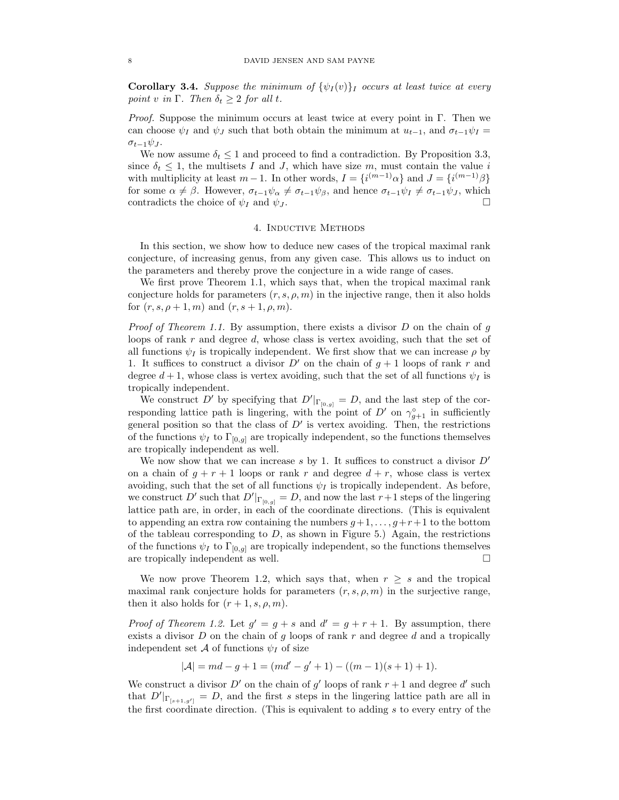**Corollary 3.4.** Suppose the minimum of  $\{\psi_I(v)\}_I$  occurs at least twice at every point v in  $\Gamma$ . Then  $\delta_t \geq 2$  for all t.

*Proof.* Suppose the minimum occurs at least twice at every point in Γ. Then we can choose  $\psi_I$  and  $\psi_J$  such that both obtain the minimum at  $u_{t-1}$ , and  $\sigma_{t-1}\psi_I =$  $\sigma_{t-1}\psi_J$ .

We now assume  $\delta_t \leq 1$  and proceed to find a contradiction. By Proposition 3.3, since  $\delta_t \leq 1$ , the multisets I and J, which have size m, must contain the value i with multiplicity at least  $m-1$ . In other words,  $I = \{i^{(m-1)}\alpha\}$  and  $J = \{i^{(m-1)}\beta\}$ for some  $\alpha \neq \beta$ . However,  $\sigma_{t-1}\psi_{\alpha} \neq \sigma_{t-1}\psi_{\beta}$ , and hence  $\sigma_{t-1}\psi_I \neq \sigma_{t-1}\psi_J$ , which contradicts the choice of  $\psi_I$  and  $\psi_J$ .

# 4. Inductive Methods

In this section, we show how to deduce new cases of the tropical maximal rank conjecture, of increasing genus, from any given case. This allows us to induct on the parameters and thereby prove the conjecture in a wide range of cases.

We first prove Theorem 1.1, which says that, when the tropical maximal rank conjecture holds for parameters  $(r, s, \rho, m)$  in the injective range, then it also holds for  $(r, s, \rho + 1, m)$  and  $(r, s + 1, \rho, m)$ .

*Proof of Theorem 1.1.* By assumption, there exists a divisor  $D$  on the chain of  $q$ loops of rank  $r$  and degree  $d$ , whose class is vertex avoiding, such that the set of all functions  $\psi_I$  is tropically independent. We first show that we can increase  $\rho$  by 1. It suffices to construct a divisor  $D'$  on the chain of  $g + 1$  loops of rank r and degree  $d+1$ , whose class is vertex avoiding, such that the set of all functions  $\psi_I$  is tropically independent.

We construct D' by specifying that  $D'|_{\Gamma_{[0,g]}} = D$ , and the last step of the corresponding lattice path is lingering, with the point of  $D'$  on  $\gamma_{g+1}^{\circ}$  in sufficiently general position so that the class of  $D'$  is vertex avoiding. Then, the restrictions of the functions  $\psi_I$  to  $\Gamma_{[0,g]}$  are tropically independent, so the functions themselves are tropically independent as well.

We now show that we can increase s by 1. It suffices to construct a divisor  $D'$ on a chain of  $q + r + 1$  loops or rank r and degree  $d + r$ , whose class is vertex avoiding, such that the set of all functions  $\psi_I$  is tropically independent. As before, we construct D' such that  $D'|_{\Gamma_{[0,g]}} = D$ , and now the last  $r+1$  steps of the lingering lattice path are, in order, in each of the coordinate directions. (This is equivalent to appending an extra row containing the numbers  $g+1, \ldots, g+r+1$  to the bottom of the tableau corresponding to  $D$ , as shown in Figure 5.) Again, the restrictions of the functions  $\psi_I$  to  $\Gamma_{[0,q]}$  are tropically independent, so the functions themselves are tropically independent as well.  $\Box$ 

We now prove Theorem 1.2, which says that, when  $r \geq s$  and the tropical maximal rank conjecture holds for parameters  $(r, s, \rho, m)$  in the surjective range, then it also holds for  $(r+1, s, \rho, m)$ .

*Proof of Theorem 1.2.* Let  $g' = g + s$  and  $d' = g + r + 1$ . By assumption, there exists a divisor  $D$  on the chain of g loops of rank r and degree d and a tropically independent set A of functions  $\psi_I$  of size

$$
|\mathcal{A}| = md - g + 1 = (md' - g' + 1) - ((m - 1)(s + 1) + 1).
$$

We construct a divisor  $D'$  on the chain of g' loops of rank  $r + 1$  and degree d' such that  $D'|_{\Gamma_{[s+1,g']} = D$ , and the first s steps in the lingering lattice path are all in the first coordinate direction. (This is equivalent to adding s to every entry of the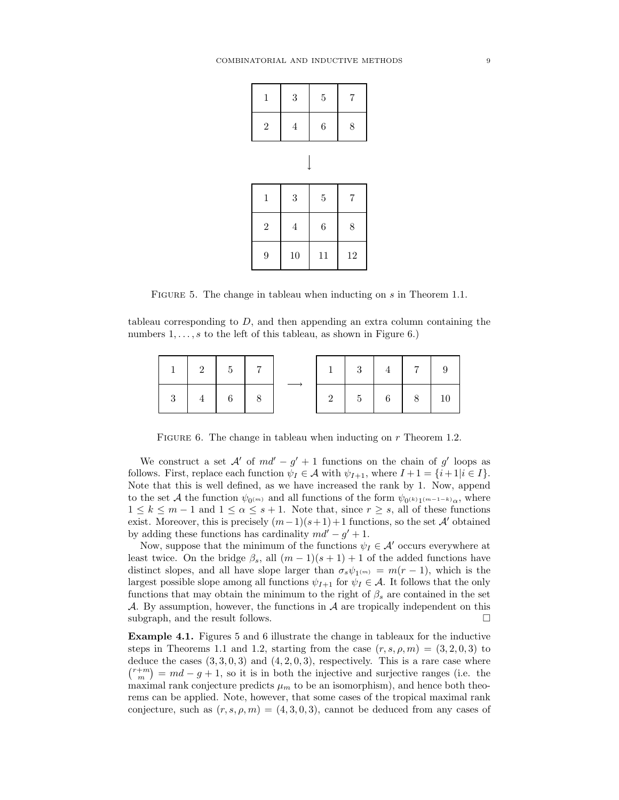| $\,1\,$        | 3<br>$\overline{5}$ |                | $\sqrt{ }$ |  |  |
|----------------|---------------------|----------------|------------|--|--|
| $\overline{2}$ | 6<br>$\overline{4}$ |                | 8          |  |  |
|                |                     |                |            |  |  |
| $\,1$          | $\sqrt{3}$          | $\overline{5}$ | $\sqrt{ }$ |  |  |
| $\overline{2}$ | $\overline{4}$      | 6              | 8          |  |  |
| 9              | 10                  | 11             | 12         |  |  |

FIGURE 5. The change in tableau when inducting on s in Theorem 1.1.

tableau corresponding to  $D$ , and then appending an extra column containing the numbers  $1, \ldots, s$  to the left of this tableau, as shown in Figure 6.)

|     | $\begin{array}{ c c c c c } \hline 2 & 5 \\ \hline \end{array}$ |                                           |  | $\begin{array}{c c} 1 & 3 \end{array}$ |             | $4 \mid 7$ |  |
|-----|-----------------------------------------------------------------|-------------------------------------------|--|----------------------------------------|-------------|------------|--|
| - 3 |                                                                 | $\begin{array}{ccc} \hline \end{array}$ 6 |  |                                        | $5 \t6 \t8$ |            |  |

FIGURE 6. The change in tableau when inducting on  $r$  Theorem 1.2.

We construct a set  $A'$  of  $md' - g' + 1$  functions on the chain of g' loops as follows. First, replace each function  $\psi_I \in \mathcal{A}$  with  $\psi_{I+1}$ , where  $I+1 = \{i+1|i \in I\}$ . Note that this is well defined, as we have increased the rank by 1. Now, append to the set A the function  $\psi_{0^{(m)}}$  and all functions of the form  $\psi_{0^{(k)}1^{(m-1-k)}\alpha}$ , where  $1 \leq k \leq m-1$  and  $1 \leq \alpha \leq s+1$ . Note that, since  $r \geq s$ , all of these functions exist. Moreover, this is precisely  $(m-1)(s+1)+1$  functions, so the set A' obtained by adding these functions has cardinality  $md' - g' + 1$ .

Now, suppose that the minimum of the functions  $\psi_I \in \mathcal{A}'$  occurs everywhere at least twice. On the bridge  $\beta_s$ , all  $(m-1)(s+1)+1$  of the added functions have distinct slopes, and all have slope larger than  $\sigma_s \psi_{1(m)} = m(r-1)$ , which is the largest possible slope among all functions  $\psi_{I+1}$  for  $\psi_I \in \mathcal{A}$ . It follows that the only functions that may obtain the minimum to the right of  $\beta_s$  are contained in the set A. By assumption, however, the functions in  $A$  are tropically independent on this subgraph, and the result follows.  $\Box$ 

Example 4.1. Figures 5 and 6 illustrate the change in tableaux for the inductive steps in Theorems 1.1 and 1.2, starting from the case  $(r, s, \rho, m) = (3, 2, 0, 3)$  to deduce the cases  $(3, 3, 0, 3)$  and  $(4, 2, 0, 3)$ , respectively. This is a rare case where  $\binom{r+m}{m} = md - g + 1$ , so it is in both the injective and surjective ranges (i.e. the maximal rank conjecture predicts  $\mu_m$  to be an isomorphism), and hence both theorems can be applied. Note, however, that some cases of the tropical maximal rank conjecture, such as  $(r, s, \rho, m) = (4, 3, 0, 3)$ , cannot be deduced from any cases of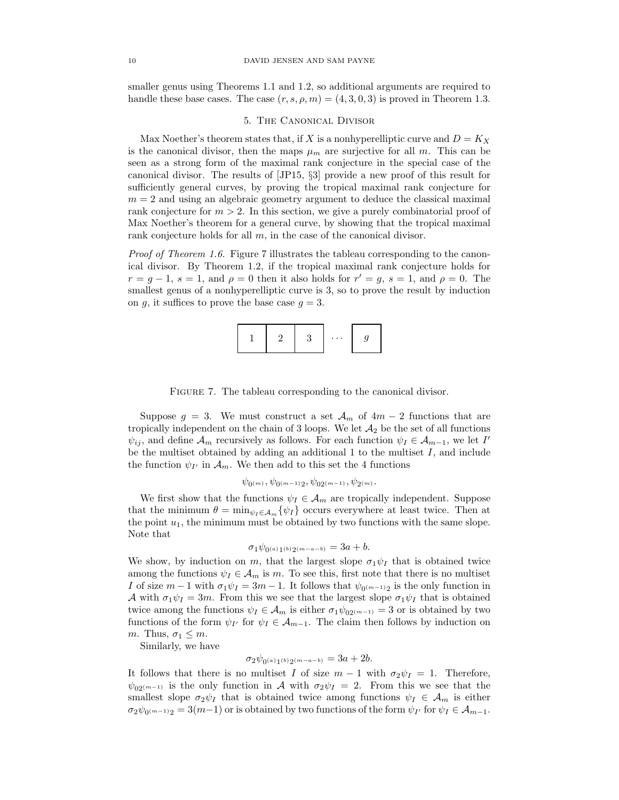smaller genus using Theorems 1.1 and 1.2, so additional arguments are required to handle these base cases. The case  $(r, s, \rho, m) = (4, 3, 0, 3)$  is proved in Theorem 1.3.

### 5. The Canonical Divisor

Max Noether's theorem states that, if X is a nonhyperelliptic curve and  $D = K_X$ is the canonical divisor, then the maps  $\mu_m$  are surjective for all m. This can be seen as a strong form of the maximal rank conjecture in the special case of the canonical divisor. The results of [JP15, §3] provide a new proof of this result for sufficiently general curves, by proving the tropical maximal rank conjecture for  $m = 2$  and using an algebraic geometry argument to deduce the classical maximal rank conjecture for  $m > 2$ . In this section, we give a purely combinatorial proof of Max Noether's theorem for a general curve, by showing that the tropical maximal rank conjecture holds for all m, in the case of the canonical divisor.

Proof of Theorem 1.6. Figure 7 illustrates the tableau corresponding to the canonical divisor. By Theorem 1.2, if the tropical maximal rank conjecture holds for  $r = g - 1$ ,  $s = 1$ , and  $\rho = 0$  then it also holds for  $r' = g$ ,  $s = 1$ , and  $\rho = 0$ . The smallest genus of a nonhyperelliptic curve is 3, so to prove the result by induction on g, it suffices to prove the base case  $g = 3$ .



FIGURE 7. The tableau corresponding to the canonical divisor.

Suppose  $g = 3$ . We must construct a set  $\mathcal{A}_m$  of  $4m - 2$  functions that are tropically independent on the chain of 3 loops. We let  $\mathcal{A}_2$  be the set of all functions  $\psi_{ij}$ , and define  $\mathcal{A}_m$  recursively as follows. For each function  $\psi_I \in \mathcal{A}_{m-1}$ , we let I' be the multiset obtained by adding an additional 1 to the multiset  $I$ , and include the function  $\psi_{I'}$  in  $\mathcal{A}_m$ . We then add to this set the 4 functions

$$
\psi_{0^{(m)}}, \psi_{0^{(m-1)}2}, \psi_{02^{(m-1)}}, \psi_{2^{(m)}}.
$$

We first show that the functions  $\psi_I \in \mathcal{A}_m$  are tropically independent. Suppose that the minimum  $\theta = \min_{\psi_I \in A_m} {\psi_I}$  occurs everywhere at least twice. Then at the point  $u_1$ , the minimum must be obtained by two functions with the same slope. Note that

$$
\sigma_1 \psi_{0^{(a)}1^{(b)}2^{(m-a-b)}} = 3a + b.
$$

We show, by induction on m, that the largest slope  $\sigma_1 \psi_I$  that is obtained twice among the functions  $\psi_I \in \mathcal{A}_m$  is m. To see this, first note that there is no multiset I of size  $m-1$  with  $\sigma_1 \psi_I = 3m-1$ . It follows that  $\psi_{0(m-1)2}$  is the only function in A with  $\sigma_1 \psi_I = 3m$ . From this we see that the largest slope  $\sigma_1 \psi_I$  that is obtained twice among the functions  $\psi_I \in \mathcal{A}_m$  is either  $\sigma_1 \psi_{02^{(m-1)}} = 3$  or is obtained by two functions of the form  $\psi_{I'}$  for  $\psi_I \in \mathcal{A}_{m-1}$ . The claim then follows by induction on m. Thus,  $\sigma_1 \leq m$ .

Similarly, we have

$$
\sigma_2 \psi_{0^{(a)}1^{(b)}2^{(m-a-b)}} = 3a + 2b.
$$

It follows that there is no multiset I of size  $m-1$  with  $\sigma_2\psi_I = 1$ . Therefore,  $\psi_{02(m-1)}$  is the only function in A with  $\sigma_2\psi_I = 2$ . From this we see that the smallest slope  $\sigma_2\psi_I$  that is obtained twice among functions  $\psi_I \in \mathcal{A}_m$  is either  $\sigma_2\psi_{0^{(m-1)}2} = 3(m-1)$  or is obtained by two functions of the form  $\psi_{I'}$  for  $\psi_I \in \mathcal{A}_{m-1}$ .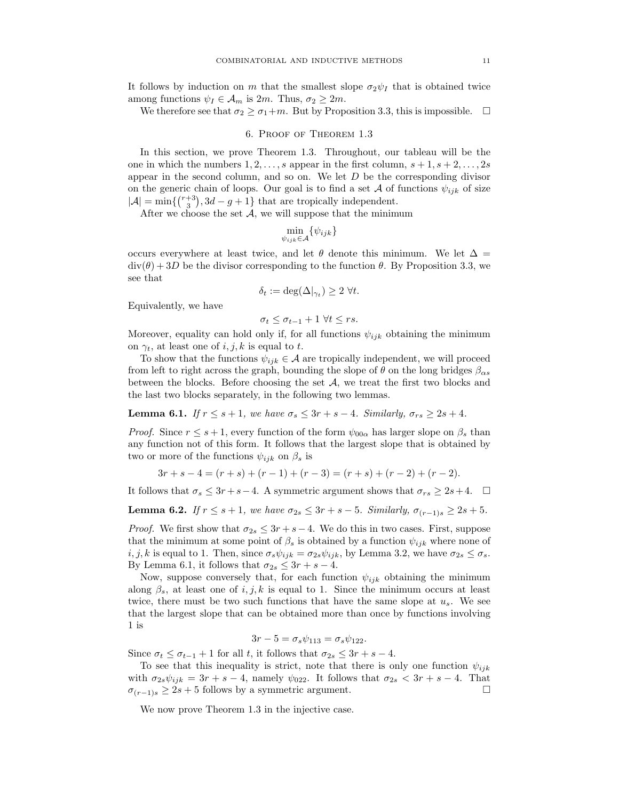It follows by induction on m that the smallest slope  $\sigma_2\psi_I$  that is obtained twice among functions  $\psi_I \in \mathcal{A}_m$  is  $2m$ . Thus,  $\sigma_2 \geq 2m$ .

We therefore see that  $\sigma_2 \ge \sigma_1+m$ . But by Proposition 3.3, this is impossible.  $\Box$ 

## 6. Proof of Theorem 1.3

In this section, we prove Theorem 1.3. Throughout, our tableau will be the one in which the numbers  $1, 2, \ldots, s$  appear in the first column,  $s + 1, s + 2, \ldots, 2s$ appear in the second column, and so on. We let  $D$  be the corresponding divisor on the generic chain of loops. Our goal is to find a set A of functions  $\psi_{ijk}$  of size  $|\mathcal{A}| = \min\left\{ {r+3 \choose 3}, 3d-g+1 \right\}$  that are tropically independent.

After we choose the set  $A$ , we will suppose that the minimum

$$
\min_{\psi_{ijk}\in\mathcal{A}}\{\psi_{ijk}\}\
$$

occurs everywhere at least twice, and let  $\theta$  denote this minimum. We let  $\Delta$  =  $div(\theta) + 3D$  be the divisor corresponding to the function  $\theta$ . By Proposition 3.3, we see that

$$
\delta_t := \deg(\Delta|_{\gamma_t}) \ge 2 \ \forall t.
$$

Equivalently, we have

$$
\sigma_t \leq \sigma_{t-1} + 1 \,\forall t \leq rs.
$$

Moreover, equality can hold only if, for all functions  $\psi_{ijk}$  obtaining the minimum on  $\gamma_t$ , at least one of i, j, k is equal to t.

To show that the functions  $\psi_{ijk} \in \mathcal{A}$  are tropically independent, we will proceed from left to right across the graph, bounding the slope of  $\theta$  on the long bridges  $\beta_{\alpha s}$ between the blocks. Before choosing the set  $A$ , we treat the first two blocks and the last two blocks separately, in the following two lemmas.

**Lemma 6.1.** If 
$$
r \leq s+1
$$
, we have  $\sigma_s \leq 3r + s - 4$ . Similarly,  $\sigma_{rs} \geq 2s + 4$ .

*Proof.* Since  $r \leq s+1$ , every function of the form  $\psi_{00\alpha}$  has larger slope on  $\beta_s$  than any function not of this form. It follows that the largest slope that is obtained by two or more of the functions  $\psi_{ijk}$  on  $\beta_s$  is

$$
3r + s - 4 = (r + s) + (r - 1) + (r - 3) = (r + s) + (r - 2) + (r - 2).
$$

It follows that  $\sigma_s \leq 3r + s - 4$ . A symmetric argument shows that  $\sigma_{rs} \geq 2s + 4$ .  $\Box$ 

Lemma 6.2. If  $r \leq s+1$ , we have  $\sigma_{2s} \leq 3r+s-5$ . Similarly,  $\sigma_{(r-1)s} \geq 2s+5$ .

*Proof.* We first show that  $\sigma_{2s} \leq 3r + s - 4$ . We do this in two cases. First, suppose that the minimum at some point of  $\beta_s$  is obtained by a function  $\psi_{ijk}$  where none of  $i, j, k$  is equal to 1. Then, since  $\sigma_s \psi_{ijk} = \sigma_{2s} \psi_{ijk}$ , by Lemma 3.2, we have  $\sigma_{2s} \leq \sigma_s$ . By Lemma 6.1, it follows that  $\sigma_{2s} \leq 3r + s - 4$ .

Now, suppose conversely that, for each function  $\psi_{ijk}$  obtaining the minimum along  $\beta_s$ , at least one of i, j, k is equal to 1. Since the minimum occurs at least twice, there must be two such functions that have the same slope at  $u_s$ . We see that the largest slope that can be obtained more than once by functions involving 1 is

$$
3r - 5 = \sigma_s \psi_{113} = \sigma_s \psi_{122}.
$$

Since  $\sigma_t \leq \sigma_{t-1} + 1$  for all t, it follows that  $\sigma_{2s} \leq 3r + s - 4$ .

To see that this inequality is strict, note that there is only one function  $\psi_{ijk}$ with  $\sigma_{2s}\psi_{ijk} = 3r + s - 4$ , namely  $\psi_{022}$ . It follows that  $\sigma_{2s} < 3r + s - 4$ . That  $\sigma_{(r-1)s} \geq 2s + 5$  follows by a symmetric argument.

We now prove Theorem 1.3 in the injective case.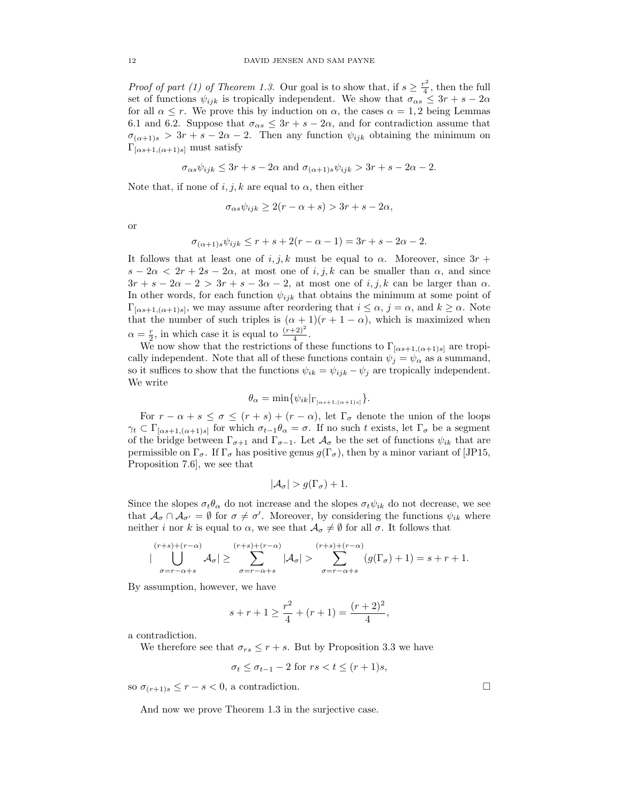*Proof of part (1) of Theorem 1.3.* Our goal is to show that, if  $s \geq \frac{r^2}{4}$  $\frac{1}{4}$ , then the full set of functions  $\psi_{ijk}$  is tropically independent. We show that  $\sigma_{\alpha s} \leq 3r + s - 2\alpha$ for all  $\alpha \leq r$ . We prove this by induction on  $\alpha$ , the cases  $\alpha = 1, 2$  being Lemmas 6.1 and 6.2. Suppose that  $\sigma_{\alpha s} \leq 3r + s - 2\alpha$ , and for contradiction assume that  $\sigma_{(\alpha+1)s} > 3r + s - 2\alpha - 2$ . Then any function  $\psi_{ijk}$  obtaining the minimum on  $\Gamma_{\left[\alpha s+1, \left(\alpha+1\right)s\right]}$  must satisfy

$$
\sigma_{\alpha s}\psi_{ijk} \leq 3r + s - 2\alpha
$$
 and  $\sigma_{(\alpha+1)s}\psi_{ijk} > 3r + s - 2\alpha - 2$ .

Note that, if none of  $i, j, k$  are equal to  $\alpha$ , then either

$$
\sigma_{\alpha s} \psi_{ijk} \ge 2(r - \alpha + s) > 3r + s - 2\alpha,
$$

or

$$
\sigma_{(\alpha+1)s}\psi_{ijk} \le r + s + 2(r - \alpha - 1) = 3r + s - 2\alpha - 2.
$$

It follows that at least one of i, j, k must be equal to  $\alpha$ . Moreover, since  $3r +$  $s - 2\alpha < 2r + 2s - 2\alpha$ , at most one of i, j, k can be smaller than  $\alpha$ , and since  $3r + s - 2\alpha - 2 > 3r + s - 3\alpha - 2$ , at most one of  $i, j, k$  can be larger than  $\alpha$ . In other words, for each function  $\psi_{ijk}$  that obtains the minimum at some point of  $\Gamma_{[\alpha s+1,(\alpha+1)s]}$ , we may assume after reordering that  $i \leq \alpha$ ,  $j = \alpha$ , and  $k \geq \alpha$ . Note that the number of such triples is  $(\alpha + 1)(r + 1 - \alpha)$ , which is maximized when  $\alpha = \frac{r}{2}$ , in which case it is equal to  $\frac{(r+2)^2}{4}$ .

We now show that the restrictions of these functions to  $\Gamma_{[\alpha s+1,(\alpha+1)s]}$  are tropically independent. Note that all of these functions contain  $\psi_j = \psi_\alpha$  as a summand, so it suffices to show that the functions  $\psi_{ik} = \psi_{ijk} - \psi_j$  are tropically independent. We write

$$
\theta_{\alpha} = \min \{ \psi_{ik} |_{\Gamma_{[\alpha s+1, (\alpha+1)s]}} \}.
$$

For  $r - \alpha + s \leq \sigma \leq (r + s) + (r - \alpha)$ , let  $\Gamma_{\sigma}$  denote the union of the loops  $\gamma_t \subset \Gamma_{[\alpha s+1,(\alpha+1)s]}$  for which  $\sigma_{t-1}\theta_\alpha = \sigma$ . If no such t exists, let  $\Gamma_\sigma$  be a segment of the bridge between  $\Gamma_{\sigma+1}$  and  $\Gamma_{\sigma-1}$ . Let  $\mathcal{A}_{\sigma}$  be the set of functions  $\psi_{ik}$  that are permissible on  $\Gamma_{\sigma}$ . If  $\Gamma_{\sigma}$  has positive genus  $g(\Gamma_{\sigma})$ , then by a minor variant of [JP15, Proposition 7.6], we see that

$$
|\mathcal{A}_{\sigma}| > g(\Gamma_{\sigma}) + 1.
$$

Since the slopes  $\sigma_t \theta_\alpha$  do not increase and the slopes  $\sigma_t \psi_{ik}$  do not decrease, we see that  $\mathcal{A}_{\sigma} \cap \mathcal{A}_{\sigma'} = \emptyset$  for  $\sigma \neq \sigma'$ . Moreover, by considering the functions  $\psi_{ik}$  where neither i nor k is equal to  $\alpha$ , we see that  $\mathcal{A}_{\sigma} \neq \emptyset$  for all  $\sigma$ . It follows that

$$
|\bigcup_{\sigma=r-\alpha+s}^{(r+s)+(r-\alpha)}\mathcal{A}_{\sigma}|\geq \sum_{\sigma=r-\alpha+s}^{(r+s)+(r-\alpha)}|\mathcal{A}_{\sigma}|>\sum_{\sigma=r-\alpha+s}^{(r+s)+(r-\alpha)}(g(\Gamma_{\sigma})+1)=s+r+1.
$$

By assumption, however, we have

$$
s + r + 1 \ge \frac{r^2}{4} + (r + 1) = \frac{(r + 2)^2}{4},
$$

a contradiction.

We therefore see that  $\sigma_{rs} \leq r + s$ . But by Proposition 3.3 we have

$$
\sigma_t \le \sigma_{t-1} - 2 \text{ for } rs < t \le (r+1)s,
$$

so  $\sigma_{(r+1)s} \leq r - s < 0$ , a contradiction.

And now we prove Theorem 1.3 in the surjective case.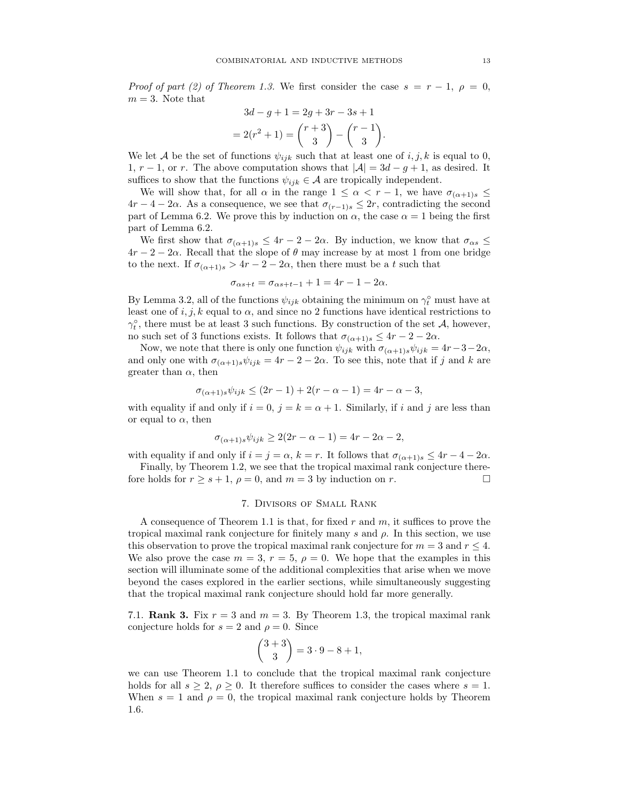Proof of part (2) of Theorem 1.3. We first consider the case  $s = r - 1$ ,  $\rho = 0$ ,  $m = 3$ . Note that

$$
3d - g + 1 = 2g + 3r - 3s + 1
$$
  
= 2(r<sup>2</sup> + 1) =  $\binom{r+3}{3}$  -  $\binom{r-1}{3}$ .

We let A be the set of functions  $\psi_{ijk}$  such that at least one of i, j, k is equal to 0, 1,  $r-1$ , or r. The above computation shows that  $|\mathcal{A}| = 3d - g + 1$ , as desired. It suffices to show that the functions  $\psi_{ijk} \in \mathcal{A}$  are tropically independent.

We will show that, for all  $\alpha$  in the range  $1 \leq \alpha < r - 1$ , we have  $\sigma_{(\alpha+1)s} \leq$  $4r-4-2\alpha$ . As a consequence, we see that  $\sigma_{(r-1)s} \leq 2r$ , contradicting the second part of Lemma 6.2. We prove this by induction on  $\alpha$ , the case  $\alpha = 1$  being the first part of Lemma 6.2.

We first show that  $\sigma_{(\alpha+1)s} \leq 4r - 2 - 2\alpha$ . By induction, we know that  $\sigma_{\alpha s} \leq$  $4r-2-2\alpha$ . Recall that the slope of  $\theta$  may increase by at most 1 from one bridge to the next. If  $\sigma_{(\alpha+1)s} > 4r - 2 - 2\alpha$ , then there must be a t such that

$$
\sigma_{\alpha s+t} = \sigma_{\alpha s+t-1} + 1 = 4r - 1 - 2\alpha.
$$

By Lemma 3.2, all of the functions  $\psi_{ijk}$  obtaining the minimum on  $\gamma_t^{\circ}$  must have at least one of i, j, k equal to  $\alpha$ , and since no 2 functions have identical restrictions to  $\gamma_t^{\circ}$ , there must be at least 3 such functions. By construction of the set A, however, no such set of 3 functions exists. It follows that  $\sigma_{(\alpha+1)s} \leq 4r - 2 - 2\alpha$ .

Now, we note that there is only one function  $\psi_{ijk}$  with  $\sigma_{(\alpha+1)s}\psi_{ijk} = 4r-3-2\alpha$ , and only one with  $\sigma_{(\alpha+1)s}\psi_{ijk} = 4r - 2 - 2\alpha$ . To see this, note that if j and k are greater than  $\alpha$ , then

$$
\sigma_{(\alpha+1)s}\psi_{ijk} \le (2r-1) + 2(r - \alpha - 1) = 4r - \alpha - 3,
$$

with equality if and only if  $i = 0$ ,  $j = k = \alpha + 1$ . Similarly, if i and j are less than or equal to  $\alpha$ , then

$$
\sigma_{(\alpha+1)s}\psi_{ijk} \ge 2(2r - \alpha - 1) = 4r - 2\alpha - 2,
$$

with equality if and only if  $i = j = \alpha$ ,  $k = r$ . It follows that  $\sigma_{(\alpha+1)s} \leq 4r - 4 - 2\alpha$ .

Finally, by Theorem 1.2, we see that the tropical maximal rank conjecture therefore holds for  $r \geq s + 1$ ,  $\rho = 0$ , and  $m = 3$  by induction on r.

# 7. Divisors of Small Rank

A consequence of Theorem 1.1 is that, for fixed r and m, it suffices to prove the tropical maximal rank conjecture for finitely many s and  $\rho$ . In this section, we use this observation to prove the tropical maximal rank conjecture for  $m = 3$  and  $r \leq 4$ . We also prove the case  $m = 3$ ,  $r = 5$ ,  $\rho = 0$ . We hope that the examples in this section will illuminate some of the additional complexities that arise when we move beyond the cases explored in the earlier sections, while simultaneously suggesting that the tropical maximal rank conjecture should hold far more generally.

7.1. **Rank 3.** Fix  $r = 3$  and  $m = 3$ . By Theorem 1.3, the tropical maximal rank conjecture holds for  $s = 2$  and  $\rho = 0$ . Since

$$
\binom{3+3}{3} = 3 \cdot 9 - 8 + 1,
$$

we can use Theorem 1.1 to conclude that the tropical maximal rank conjecture holds for all  $s \geq 2$ ,  $\rho \geq 0$ . It therefore suffices to consider the cases where  $s = 1$ . When  $s = 1$  and  $\rho = 0$ , the tropical maximal rank conjecture holds by Theorem 1.6.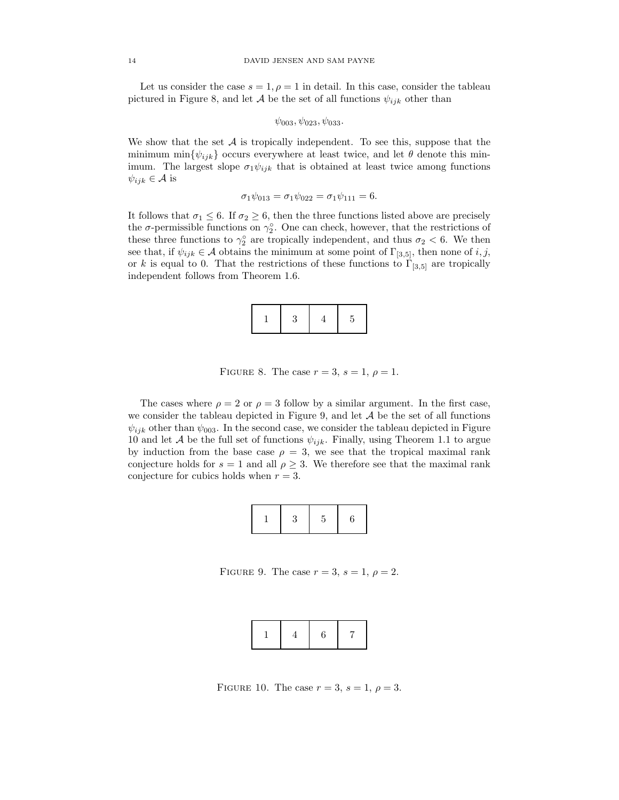Let us consider the case  $s = 1, \rho = 1$  in detail. In this case, consider the tableau pictured in Figure 8, and let A be the set of all functions  $\psi_{ijk}$  other than

$$
\psi_{003}, \psi_{023}, \psi_{033}
$$

We show that the set  $A$  is tropically independent. To see this, suppose that the minimum min $\{\psi_{ijk}\}$  occurs everywhere at least twice, and let  $\theta$  denote this minimum. The largest slope  $\sigma_1 \psi_{ijk}$  that is obtained at least twice among functions  $\psi_{ijk} \in \mathcal{A}$  is

$$
\sigma_1 \psi_{013} = \sigma_1 \psi_{022} = \sigma_1 \psi_{111} = 6.
$$

It follows that  $\sigma_1 \leq 6$ . If  $\sigma_2 \geq 6$ , then the three functions listed above are precisely the  $\sigma$ -permissible functions on  $\gamma_2^{\circ}$ . One can check, however, that the restrictions of these three functions to  $\gamma_2^{\circ}$  are tropically independent, and thus  $\sigma_2 < 6$ . We then see that, if  $\psi_{ijk} \in \mathcal{A}$  obtains the minimum at some point of  $\Gamma_{[3,5]}$ , then none of i, j, or k is equal to 0. That the restrictions of these functions to  $\Gamma_{[3,5]}$  are tropically independent follows from Theorem 1.6.

|--|--|--|

FIGURE 8. The case  $r = 3$ ,  $s = 1$ ,  $\rho = 1$ .

The cases where  $\rho = 2$  or  $\rho = 3$  follow by a similar argument. In the first case, we consider the tableau depicted in Figure 9, and let  $A$  be the set of all functions  $\psi_{ijk}$  other than  $\psi_{003}$ . In the second case, we consider the tableau depicted in Figure 10 and let A be the full set of functions  $\psi_{ijk}$ . Finally, using Theorem 1.1 to argue by induction from the base case  $\rho = 3$ , we see that the tropical maximal rank conjecture holds for  $s = 1$  and all  $\rho \geq 3$ . We therefore see that the maximal rank conjecture for cubics holds when  $r = 3$ .

|--|

FIGURE 9. The case  $r = 3$ ,  $s = 1$ ,  $\rho = 2$ .

|--|--|--|--|

FIGURE 10. The case  $r = 3$ ,  $s = 1$ ,  $\rho = 3$ .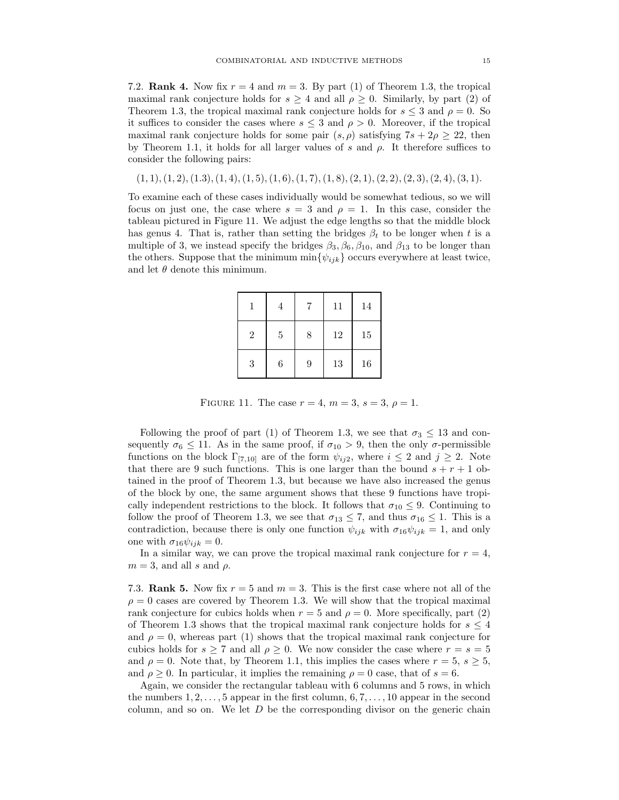7.2. **Rank 4.** Now fix  $r = 4$  and  $m = 3$ . By part (1) of Theorem 1.3, the tropical maximal rank conjecture holds for  $s \geq 4$  and all  $\rho \geq 0$ . Similarly, by part (2) of Theorem 1.3, the tropical maximal rank conjecture holds for  $s \leq 3$  and  $\rho = 0$ . So it suffices to consider the cases where  $s \leq 3$  and  $\rho > 0$ . Moreover, if the tropical maximal rank conjecture holds for some pair  $(s, \rho)$  satisfying  $7s + 2\rho \geq 22$ , then by Theorem 1.1, it holds for all larger values of s and  $\rho$ . It therefore suffices to consider the following pairs:

 $(1, 1), (1, 2), (1, 3), (1, 4), (1, 5), (1, 6), (1, 7), (1, 8), (2, 1), (2, 2), (2, 3), (2, 4), (3, 1).$ 

To examine each of these cases individually would be somewhat tedious, so we will focus on just one, the case where  $s = 3$  and  $\rho = 1$ . In this case, consider the tableau pictured in Figure 11. We adjust the edge lengths so that the middle block has genus 4. That is, rather than setting the bridges  $\beta_t$  to be longer when t is a multiple of 3, we instead specify the bridges  $\beta_3$ ,  $\beta_6$ ,  $\beta_{10}$ , and  $\beta_{13}$  to be longer than the others. Suppose that the minimum  $\min\{\psi_{ijk}\}$  occurs everywhere at least twice, and let  $\theta$  denote this minimum.

|                | 4       | 7 | 11 | 14 |
|----------------|---------|---|----|----|
| $\overline{2}$ | $\bf 5$ | 8 | 12 | 15 |
| 3              | 6       | 9 | 13 | 16 |

FIGURE 11. The case  $r = 4$ ,  $m = 3$ ,  $s = 3$ ,  $\rho = 1$ .

Following the proof of part (1) of Theorem 1.3, we see that  $\sigma_3 \leq 13$  and consequently  $\sigma_6 \leq 11$ . As in the same proof, if  $\sigma_{10} > 9$ , then the only  $\sigma$ -permissible functions on the block  $\Gamma_{[7,10]}$  are of the form  $\psi_{ij2}$ , where  $i \leq 2$  and  $j \geq 2$ . Note that there are 9 such functions. This is one larger than the bound  $s + r + 1$  obtained in the proof of Theorem 1.3, but because we have also increased the genus of the block by one, the same argument shows that these 9 functions have tropically independent restrictions to the block. It follows that  $\sigma_{10} \leq 9$ . Continuing to follow the proof of Theorem 1.3, we see that  $\sigma_{13} \leq 7$ , and thus  $\sigma_{16} \leq 1$ . This is a contradiction, because there is only one function  $\psi_{ijk}$  with  $\sigma_{16}\psi_{ijk} = 1$ , and only one with  $\sigma_{16}\psi_{ijk} = 0$ .

In a similar way, we can prove the tropical maximal rank conjecture for  $r = 4$ ,  $m = 3$ , and all s and  $\rho$ .

7.3. Rank 5. Now fix  $r = 5$  and  $m = 3$ . This is the first case where not all of the  $\rho = 0$  cases are covered by Theorem 1.3. We will show that the tropical maximal rank conjecture for cubics holds when  $r = 5$  and  $\rho = 0$ . More specifically, part (2) of Theorem 1.3 shows that the tropical maximal rank conjecture holds for  $s \leq 4$ and  $\rho = 0$ , whereas part (1) shows that the tropical maximal rank conjecture for cubics holds for  $s \geq 7$  and all  $\rho \geq 0$ . We now consider the case where  $r = s = 5$ and  $\rho = 0$ . Note that, by Theorem 1.1, this implies the cases where  $r = 5$ ,  $s \ge 5$ , and  $\rho > 0$ . In particular, it implies the remaining  $\rho = 0$  case, that of  $s = 6$ .

Again, we consider the rectangular tableau with 6 columns and 5 rows, in which the numbers  $1, 2, \ldots, 5$  appear in the first column,  $6, 7, \ldots, 10$  appear in the second column, and so on. We let  $D$  be the corresponding divisor on the generic chain